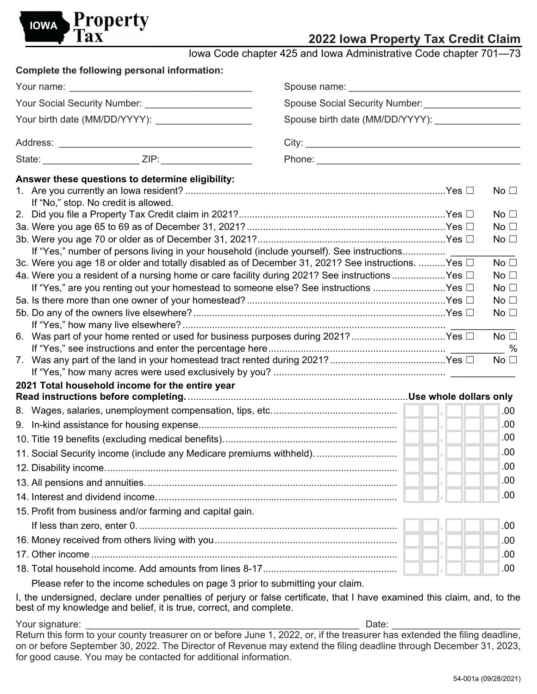

# **2022 Iowa Property Tax Credit Claim**

Iowa Code chapter 425 and Iowa Administrative Code chapter 701—73

|                                                     | Complete the following personal information:                                             |                                                                                                                                                                                                  |  |  |                                 |  |
|-----------------------------------------------------|------------------------------------------------------------------------------------------|--------------------------------------------------------------------------------------------------------------------------------------------------------------------------------------------------|--|--|---------------------------------|--|
|                                                     |                                                                                          |                                                                                                                                                                                                  |  |  |                                 |  |
| Your Social Security Number: ______________________ |                                                                                          |                                                                                                                                                                                                  |  |  |                                 |  |
|                                                     | Your birth date (MM/DD/YYYY): ____________________                                       |                                                                                                                                                                                                  |  |  |                                 |  |
|                                                     |                                                                                          |                                                                                                                                                                                                  |  |  |                                 |  |
|                                                     |                                                                                          |                                                                                                                                                                                                  |  |  |                                 |  |
|                                                     | Answer these questions to determine eligibility:<br>If "No," stop. No credit is allowed. |                                                                                                                                                                                                  |  |  | No $\square$                    |  |
|                                                     |                                                                                          |                                                                                                                                                                                                  |  |  | No $\square$                    |  |
|                                                     |                                                                                          |                                                                                                                                                                                                  |  |  | No $\square$                    |  |
|                                                     |                                                                                          |                                                                                                                                                                                                  |  |  | No $\square$                    |  |
|                                                     |                                                                                          | If "Yes," number of persons living in your household (include yourself). See instructions                                                                                                        |  |  |                                 |  |
|                                                     |                                                                                          | 3c. Were you age 18 or older and totally disabled as of December 31, 2021? See instructions. Yes $\Box$                                                                                          |  |  | No $\square$                    |  |
|                                                     |                                                                                          | 4a. Were you a resident of a nursing home or care facility during 2021? See instructions Yes $\Box$<br>If "Yes," are you renting out your homestead to someone else? See instructions Yes $\Box$ |  |  | No $\square$<br>No <sub>1</sub> |  |
|                                                     |                                                                                          |                                                                                                                                                                                                  |  |  | No $\square$                    |  |
|                                                     |                                                                                          |                                                                                                                                                                                                  |  |  | No $\square$                    |  |
|                                                     |                                                                                          |                                                                                                                                                                                                  |  |  |                                 |  |
|                                                     |                                                                                          | 6. Was part of your home rented or used for business purposes during 2021? Yes $\Box$                                                                                                            |  |  | No <sub>1</sub><br>$-$ %        |  |
|                                                     |                                                                                          |                                                                                                                                                                                                  |  |  | No $\square$                    |  |
|                                                     | 2021 Total household income for the entire year                                          |                                                                                                                                                                                                  |  |  |                                 |  |
|                                                     |                                                                                          |                                                                                                                                                                                                  |  |  | .00                             |  |
|                                                     |                                                                                          |                                                                                                                                                                                                  |  |  | .00                             |  |
|                                                     |                                                                                          |                                                                                                                                                                                                  |  |  | .00                             |  |
|                                                     |                                                                                          |                                                                                                                                                                                                  |  |  | .00                             |  |
|                                                     |                                                                                          |                                                                                                                                                                                                  |  |  | .00                             |  |
|                                                     |                                                                                          |                                                                                                                                                                                                  |  |  | .00                             |  |
|                                                     |                                                                                          |                                                                                                                                                                                                  |  |  | .00                             |  |
|                                                     | 15. Profit from business and/or farming and capital gain.                                |                                                                                                                                                                                                  |  |  |                                 |  |
|                                                     |                                                                                          |                                                                                                                                                                                                  |  |  | .00                             |  |
|                                                     |                                                                                          |                                                                                                                                                                                                  |  |  | .00                             |  |
|                                                     |                                                                                          |                                                                                                                                                                                                  |  |  | .00                             |  |
|                                                     |                                                                                          |                                                                                                                                                                                                  |  |  | .00                             |  |
|                                                     |                                                                                          | Disease refer to the income sebedules on nego 2 prior to submitting vous aloim                                                                                                                   |  |  |                                 |  |

Please refer to the income schedules on page 3 prior to submitting your claim.

I, the undersigned, declare under penalties of perjury or false certificate, that I have examined this claim, and, to the best of my knowledge and belief, it is true, correct, and complete.

Your signature: Date: Return this form to your county treasurer on or before June 1, 2022, or, if the treasurer has extended the filing deadline, on or before September 30, 2022. The Director of Revenue may extend the filing deadline through December 31, 2023, for good cause. You may be contacted for additional information.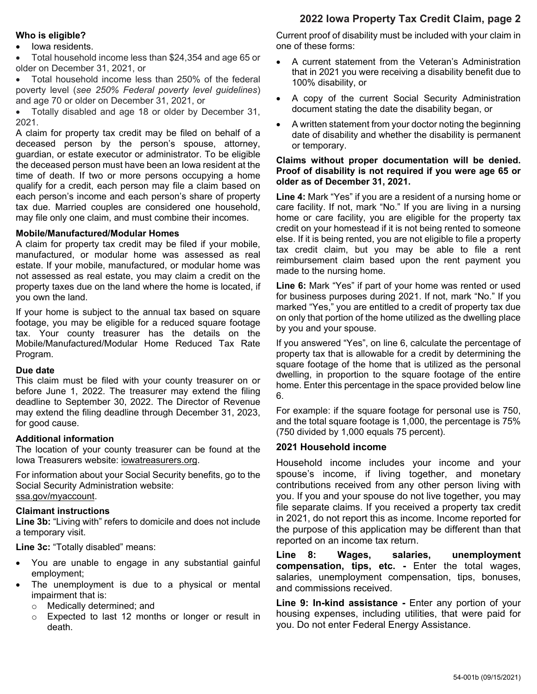## **2022 Iowa Property Tax Credit Claim, page 2**

### **Who is eligible?**

• Iowa residents.

• Total household income less than \$24,354 and age 65 or older on December 31, 2021, or

• Total household income less than 250% of the federal poverty level (*see 250% Federal poverty level guidelines*) and age 70 or older on December 31, 2021, or

• Totally disabled and age 18 or older by December 31, 2021.

A claim for property tax credit may be filed on behalf of a deceased person by the person's spouse, attorney, guardian, or estate executor or administrator. To be eligible the deceased person must have been an Iowa resident at the time of death. If two or more persons occupying a home qualify for a credit, each person may file a claim based on each person's income and each person's share of property tax due. Married couples are considered one household, may file only one claim, and must combine their incomes.

#### **Mobile/Manufactured/Modular Homes**

A claim for property tax credit may be filed if your mobile, manufactured, or modular home was assessed as real estate. If your mobile, manufactured, or modular home was not assessed as real estate, you may claim a credit on the property taxes due on the land where the home is located, if you own the land.

If your home is subject to the annual tax based on square footage, you may be eligible for a reduced square footage tax. Your county treasurer has the details on the Mobile/Manufactured/Modular Home Reduced Tax Rate Program.

#### **Due date**

This claim must be filed with your county treasurer on or before June 1, 2022. The treasurer may extend the filing deadline to September 30, 2022. The Director of Revenue may extend the filing deadline through December 31, 2023, for good cause.

### **Additional information**

The location of your county treasurer can be found at the Iowa Treasurers website: [iowatreasurers.org.](https://www.iowatreasurers.org/)

For information about your Social Security benefits, go to the Social Security Administration website: [ssa.gov/myaccount.](https://www.ssa.gov/myaccount/)

### **Claimant instructions**

**Line 3b:** "Living with" refers to domicile and does not include a temporary visit.

**Line 3c:** "Totally disabled" means:

- You are unable to engage in any substantial gainful employment;
- The unemployment is due to a physical or mental impairment that is:
	-
	- o Medically determined; and<br>
	o Expected to last 12 mont Expected to last 12 months or longer or result in death.

Current proof of disability must be included with your claim in one of these forms:

- A current statement from the Veteran's Administration that in 2021 you were receiving a disability benefit due to 100% disability, or
- A copy of the current Social Security Administration document stating the date the disability began, or
- A written statement from your doctor noting the beginning date of disability and whether the disability is permanent or temporary.

### **Claims without proper documentation will be denied. Proof of disability is not required if you were age 65 or older as of December 31, 2021.**

**Line 4:** Mark "Yes" if you are a resident of a nursing home or care facility. If not, mark "No." If you are living in a nursing home or care facility, you are eligible for the property tax credit on your homestead if it is not being rented to someone else. If it is being rented, you are not eligible to file a property tax credit claim, but you may be able to file a rent reimbursement claim based upon the rent payment you made to the nursing home.

**Line 6:** Mark "Yes" if part of your home was rented or used for business purposes during 2021. If not, mark "No." If you marked "Yes," you are entitled to a credit of property tax due on only that portion of the home utilized as the dwelling place by you and your spouse.

If you answered "Yes", on line 6, calculate the percentage of property tax that is allowable for a credit by determining the square footage of the home that is utilized as the personal dwelling, in proportion to the square footage of the entire home. Enter this percentage in the space provided below line 6.

For example: if the square footage for personal use is 750, and the total square footage is 1,000, the percentage is 75% (750 divided by 1,000 equals 75 percent).

## **2021 Household income**

Household income includes your income and your spouse's income, if living together, and monetary contributions received from any other person living with you. If you and your spouse do not live together, you may file separate claims. If you received a property tax credit in 2021, do not report this as income. Income reported for the purpose of this application may be different than that reported on an income tax return.

**Line 8: Wages, salaries, unemployment compensation, tips, etc. -** Enter the total wages, salaries, unemployment compensation, tips, bonuses, and commissions received.

**Line 9: In-kind assistance -** Enter any portion of your housing expenses, including utilities, that were paid for you. Do not enter Federal Energy Assistance.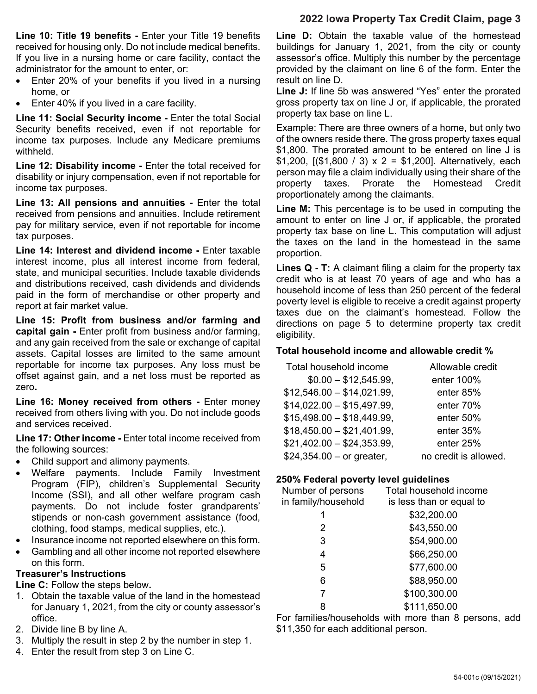## **2022 Iowa Property Tax Credit Claim, page 3**

**Line 10: Title 19 benefits -** Enter your Title 19 benefits received for housing only. Do not include medical benefits. If you live in a nursing home or care facility, contact the administrator for the amount to enter, or:

- Enter 20% of your benefits if you lived in a nursing home, or
- Enter 40% if you lived in a care facility.

**Line 11: Social Security income -** Enter the total Social Security benefits received, even if not reportable for income tax purposes. Include any Medicare premiums withheld.

**Line 12: Disability income -** Enter the total received for disability or injury compensation, even if not reportable for income tax purposes.

**Line 13: All pensions and annuities -** Enter the total received from pensions and annuities. Include retirement pay for military service, even if not reportable for income tax purposes.

**Line 14: Interest and dividend income -** Enter taxable interest income, plus all interest income from federal, state, and municipal securities. Include taxable dividends and distributions received, cash dividends and dividends paid in the form of merchandise or other property and report at fair market value.

**Line 15: Profit from business and/or farming and capital gain -** Enter profit from business and/or farming, and any gain received from the sale or exchange of capital assets. Capital losses are limited to the same amount reportable for income tax purposes. Any loss must be offset against gain, and a net loss must be reported as zero**.**

**Line 16: Money received from others -** Enter money received from others living with you. Do not include goods and services received.

**Line 17: Other income -** Enter total income received from the following sources:

- Child support and alimony payments.
- Welfare payments. Include Family Investment Program (FIP), children's Supplemental Security Income (SSI), and all other welfare program cash payments. Do not include foster grandparents' stipends or non-cash government assistance (food, clothing, food stamps, medical supplies, etc.).
- Insurance income not reported elsewhere on this form.
- Gambling and all other income not reported elsewhere on this form.

## **Treasurer's Instructions**

**Line C:** Follow the steps below**.**

- 1. Obtain the taxable value of the land in the homestead for January 1, 2021, from the city or county assessor's office.
- 2. Divide line B by line A.
- 3. Multiply the result in step 2 by the number in step 1.
- 4. Enter the result from step 3 on Line C.

**Line D:** Obtain the taxable value of the homestead buildings for January 1, 2021, from the city or county assessor's office. Multiply this number by the percentage provided by the claimant on line 6 of the form. Enter the result on line D.

**Line J:** If line 5b was answered "Yes" enter the prorated gross property tax on line J or, if applicable, the prorated property tax base on line L.

Example: There are three owners of a home, but only two of the owners reside there. The gross property taxes equal \$1,800. The prorated amount to be entered on line J is \$1,200,  $[(\$1,800 / 3) \times 2 = \$1,200]$ . Alternatively, each person may file a claim individually using their share of the property taxes. Prorate the Homestead Credit proportionately among the claimants.

**Line M:** This percentage is to be used in computing the amount to enter on line J or, if applicable, the prorated property tax base on line L. This computation will adjust the taxes on the land in the homestead in the same proportion.

**Lines Q - T:** A claimant filing a claim for the property tax credit who is at least 70 years of age and who has a household income of less than 250 percent of the federal poverty level is eligible to receive a credit against property taxes due on the claimant's homestead. Follow the directions on page 5 to determine property tax credit eligibility.

## **Total household income and allowable credit %**

| Total household income     | Allowable credit      |
|----------------------------|-----------------------|
| $$0.00 - $12,545.99,$      | enter 100%            |
| $$12,546.00 - $14,021.99,$ | enter 85%             |
| $$14,022.00 - $15,497.99,$ | enter 70%             |
| $$15,498.00 - $18,449.99,$ | enter 50%             |
| $$18,450.00 - $21,401.99,$ | enter 35%             |
| $$21,402.00 - $24,353.99,$ | enter 25%             |
| $$24,354.00 - or greater,$ | no credit is allowed. |

## **250% Federal poverty level guidelines**

| 0070 - 000101 POTOLLY 10TOI GAIAOIIII00 |                          |  |  |  |  |
|-----------------------------------------|--------------------------|--|--|--|--|
| Number of persons                       | Total household income   |  |  |  |  |
| in family/household                     | is less than or equal to |  |  |  |  |
|                                         | \$32,200.00              |  |  |  |  |
| 2                                       | \$43,550.00              |  |  |  |  |
| 3                                       | \$54,900.00              |  |  |  |  |
| 4                                       | \$66,250.00              |  |  |  |  |
| 5                                       | \$77,600.00              |  |  |  |  |
| 6                                       | \$88,950.00              |  |  |  |  |
| 7                                       | \$100,300.00             |  |  |  |  |
| 8                                       | \$111,650.00             |  |  |  |  |

For families/households with more than 8 persons, add \$11,350 for each additional person.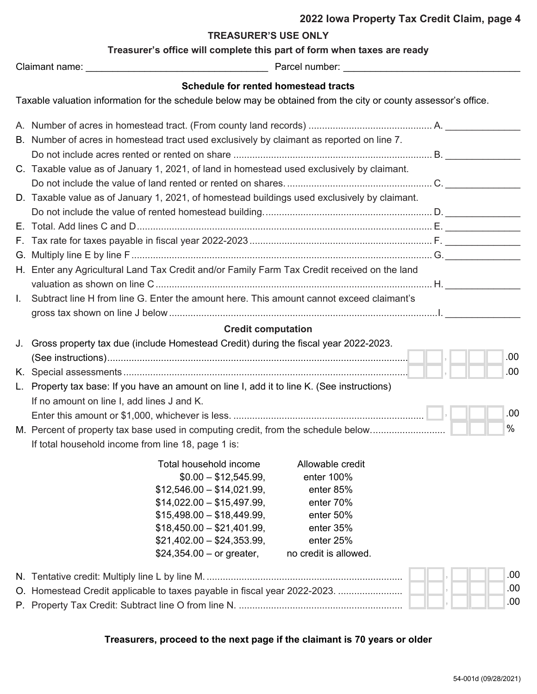### **TREASURER'S USE ONLY**

| Treasurer's office will complete this part of form when taxes are ready |  |
|-------------------------------------------------------------------------|--|
|-------------------------------------------------------------------------|--|

| Claimant name: |  |
|----------------|--|
|                |  |

Claimant name: \_\_\_\_\_\_\_\_\_\_\_\_\_\_\_\_\_\_\_\_\_\_\_\_\_\_\_\_\_\_\_\_\_\_ Parcel number: \_\_\_\_\_\_\_\_\_\_\_\_\_\_\_\_\_\_\_\_\_\_\_\_\_\_\_\_\_\_\_\_\_

## **Schedule for rented homestead tracts**

Taxable valuation information for the schedule below may be obtained from the city or county assessor's office.

|    | B. Number of acres in homestead tract used exclusively by claimant as reported on line 7.    |  |      |
|----|----------------------------------------------------------------------------------------------|--|------|
|    |                                                                                              |  |      |
|    | C. Taxable value as of January 1, 2021, of land in homestead used exclusively by claimant.   |  |      |
|    |                                                                                              |  |      |
|    | D. Taxable value as of January 1, 2021, of homestead buildings used exclusively by claimant. |  |      |
|    |                                                                                              |  |      |
|    |                                                                                              |  |      |
|    |                                                                                              |  |      |
|    |                                                                                              |  |      |
|    | H. Enter any Agricultural Land Tax Credit and/or Family Farm Tax Credit received on the land |  |      |
|    |                                                                                              |  |      |
| L. | Subtract line H from line G. Enter the amount here. This amount cannot exceed claimant's     |  |      |
|    |                                                                                              |  |      |
|    | <b>Credit computation</b>                                                                    |  |      |
|    | J. Gross property tax due (include Homestead Credit) during the fiscal year 2022-2023.       |  |      |
|    |                                                                                              |  | .00  |
|    |                                                                                              |  | .00  |
|    | L. Property tax base: If you have an amount on line I, add it to line K. (See instructions)  |  |      |
|    | If no amount on line I, add lines J and K.                                                   |  |      |
|    |                                                                                              |  | .00  |
|    | M. Percent of property tax base used in computing credit, from the schedule below            |  | $\%$ |
|    |                                                                                              |  |      |
|    | If total household income from line 18, page 1 is:                                           |  |      |
|    | Total household income<br>Allowable credit                                                   |  |      |
|    | $$0.00 - $12,545.99,$<br>enter 100%                                                          |  |      |
|    | $$12,546.00 - $14,021.99,$<br>enter 85%                                                      |  |      |
|    | $$14,022.00 - $15,497.99,$<br>enter 70%                                                      |  |      |
|    | $$15,498.00 - $18,449.99,$<br>enter 50%                                                      |  |      |
|    | $$18,450.00 - $21,401.99,$<br>enter 35%                                                      |  |      |
|    | $$21,402.00 - $24,353.99,$<br>enter 25%                                                      |  |      |
|    | $$24,354.00 - or greater,$<br>no credit is allowed.                                          |  |      |
|    |                                                                                              |  | .00  |
|    | O. Homestead Credit applicable to taxes payable in fiscal year 2022-2023.                    |  | .00  |
|    |                                                                                              |  | .00  |

## **Treasurers, proceed to the next page if the claimant is 70 years or older**